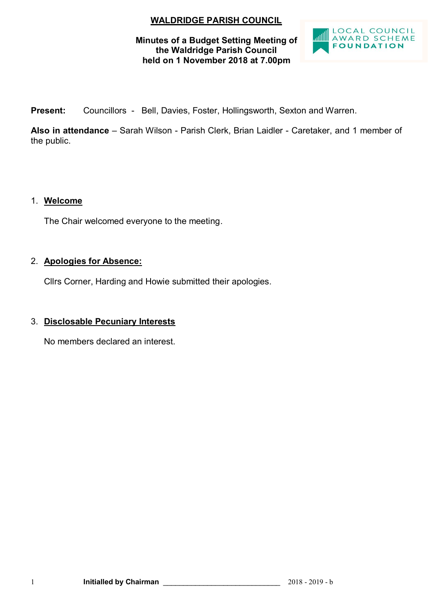# **WALDRIDGE PARISH COUNCIL**

## **Minutes of a Budget Setting Meeting of the Waldridge Parish Council held on 1 November 2018 at 7.00pm**



**Present:** Councillors - Bell, Davies, Foster, Hollingsworth, Sexton and Warren.

**Also in attendance** – Sarah Wilson - Parish Clerk, Brian Laidler - Caretaker, and 1 member of the public.

# 1. **Welcome**

The Chair welcomed everyone to the meeting.

# 2. **Apologies for Absence:**

Cllrs Corner, Harding and Howie submitted their apologies.

# 3. **Disclosable Pecuniary Interests**

No members declared an interest.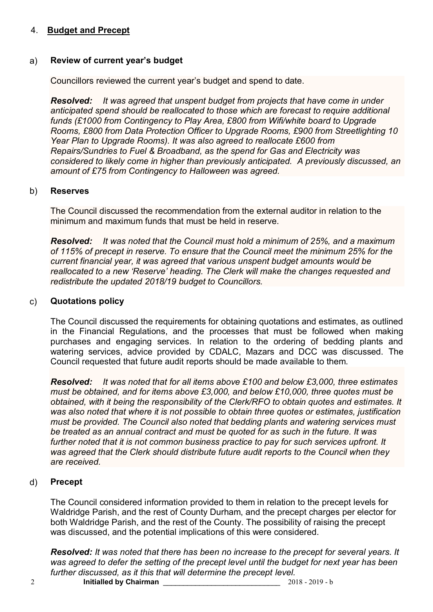# 4. **Budget and Precept**

## a) **Review of current year's budget**

Councillors reviewed the current year's budget and spend to date.

*Resolved: It was agreed that unspent budget from projects that have come in under anticipated spend should be reallocated to those which are forecast to require additional funds (£1000 from Contingency to Play Area, £800 from Wifi/white board to Upgrade Rooms, £800 from Data Protection Officer to Upgrade Rooms, £900 from Streetlighting 10 Year Plan to Upgrade Rooms). It was also agreed to reallocate £600 from Repairs/Sundries to Fuel & Broadband, as the spend for Gas and Electricity was considered to likely come in higher than previously anticipated. A previously discussed, an amount of £75 from Contingency to Halloween was agreed.*

#### b) **Reserves**

The Council discussed the recommendation from the external auditor in relation to the minimum and maximum funds that must be held in reserve.

*Resolved: It was noted that the Council must hold a minimum of 25%, and a maximum of 115% of precept in reserve. To ensure that the Council meet the minimum 25% for the current financial year, it was agreed that various unspent budget amounts would be reallocated to a new 'Reserve' heading. The Clerk will make the changes requested and redistribute the updated 2018/19 budget to Councillors.*

#### c) **Quotations policy**

The Council discussed the requirements for obtaining quotations and estimates, as outlined in the Financial Regulations, and the processes that must be followed when making purchases and engaging services. In relation to the ordering of bedding plants and watering services, advice provided by CDALC, Mazars and DCC was discussed. The Council requested that future audit reports should be made available to them.

*Resolved: It was noted that for all items above £100 and below £3,000, three estimates must be obtained, and for items above £3,000, and below £10,000, three quotes must be obtained, with it being the responsibility of the Clerk/RFO to obtain quotes and estimates. It was also noted that where it is not possible to obtain three quotes or estimates, justification must be provided. The Council also noted that bedding plants and watering services must be treated as an annual contract and must be quoted for as such in the future. It was further noted that it is not common business practice to pay for such services upfront. It was agreed that the Clerk should distribute future audit reports to the Council when they are received.*

#### d) **Precept**

The Council considered information provided to them in relation to the precept levels for Waldridge Parish, and the rest of County Durham, and the precept charges per elector for both Waldridge Parish, and the rest of the County. The possibility of raising the precept was discussed, and the potential implications of this were considered.

*Resolved: It was noted that there has been no increase to the precept for several years. It was agreed to defer the setting of the precept level until the budget for next year has been further discussed, as it this that will determine the precept level.*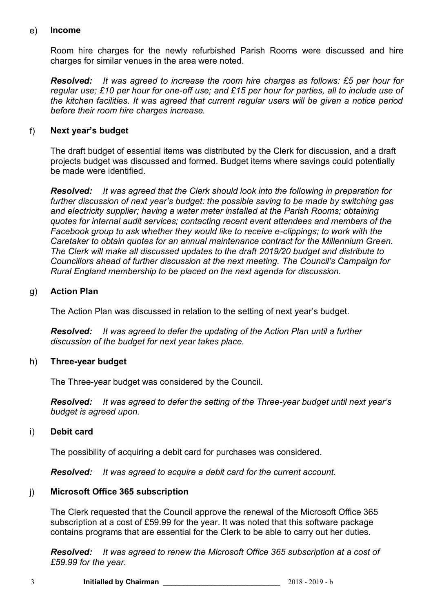#### e) **Income**

Room hire charges for the newly refurbished Parish Rooms were discussed and hire charges for similar venues in the area were noted.

*Resolved: It was agreed to increase the room hire charges as follows: £5 per hour for regular use; £10 per hour for one-off use; and £15 per hour for parties, all to include use of the kitchen facilities. It was agreed that current regular users will be given a notice period before their room hire charges increase.*

# f) **Next year's budget**

The draft budget of essential items was distributed by the Clerk for discussion, and a draft projects budget was discussed and formed. Budget items where savings could potentially be made were identified.

*Resolved: It was agreed that the Clerk should look into the following in preparation for further discussion of next year's budget: the possible saving to be made by switching gas and electricity supplier; having a water meter installed at the Parish Rooms; obtaining quotes for internal audit services; contacting recent event attendees and members of the Facebook group to ask whether they would like to receive e-clippings; to work with the Caretaker to obtain quotes for an annual maintenance contract for the Millennium Green. The Clerk will make all discussed updates to the draft 2019/20 budget and distribute to Councillors ahead of further discussion at the next meeting. The Council's Campaign for Rural England membership to be placed on the next agenda for discussion.*

## g) **Action Plan**

The Action Plan was discussed in relation to the setting of next year's budget.

*Resolved: It was agreed to defer the updating of the Action Plan until a further discussion of the budget for next year takes place.*

#### h) **Three-year budget**

The Three-year budget was considered by the Council.

*Resolved: It was agreed to defer the setting of the Three-year budget until next year's budget is agreed upon.*

#### i) **Debit card**

The possibility of acquiring a debit card for purchases was considered.

*Resolved: It was agreed to acquire a debit card for the current account.* 

#### j) **Microsoft Office 365 subscription**

The Clerk requested that the Council approve the renewal of the Microsoft Office 365 subscription at a cost of £59.99 for the year. It was noted that this software package contains programs that are essential for the Clerk to be able to carry out her duties.

*Resolved: It was agreed to renew the Microsoft Office 365 subscription at a cost of £59.99 for the year.*